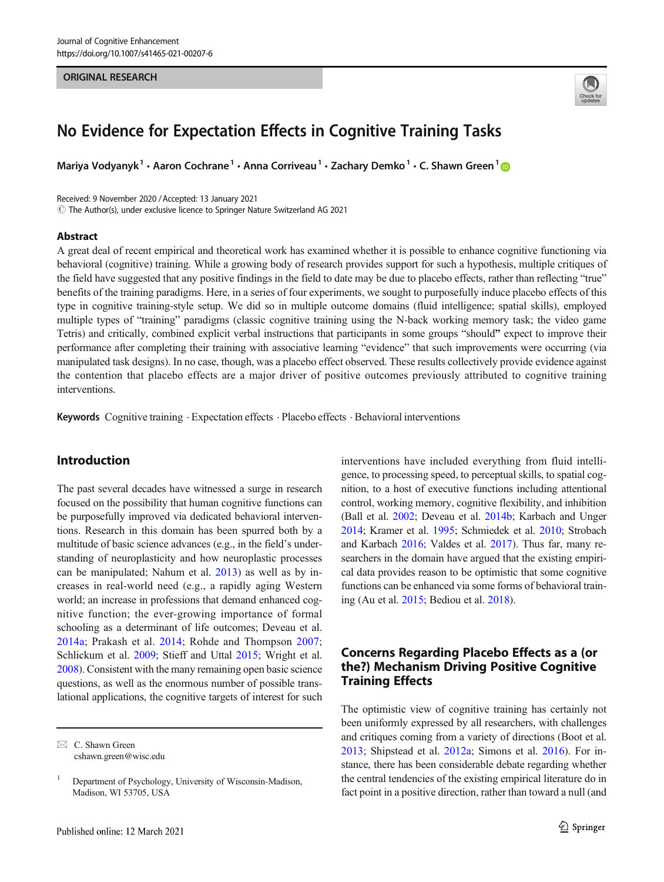#### ORIGINAL RESEARCH



# No Evidence for Expectation Effects in Cognitive Training Tasks

Mariya Vodyanyk<sup>1</sup> • Aaron Cochrane<sup>1</sup> • Anna Corriveau<sup>1</sup> • Zachary Demko<sup>1</sup> • C. Shawn Green<sup>1</sup>

Received: 9 November 2020 /Accepted: 13 January 2021

 $\copyright$  The Author(s), under exclusive licence to Springer Nature Switzerland AG 2021

#### Abstract

A great deal of recent empirical and theoretical work has examined whether it is possible to enhance cognitive functioning via behavioral (cognitive) training. While a growing body of research provides support for such a hypothesis, multiple critiques of the field have suggested that any positive findings in the field to date may be due to placebo effects, rather than reflecting "true" benefits of the training paradigms. Here, in a series of four experiments, we sought to purposefully induce placebo effects of this type in cognitive training-style setup. We did so in multiple outcome domains (fluid intelligence; spatial skills), employed multiple types of "training" paradigms (classic cognitive training using the N-back working memory task; the video game Tetris) and critically, combined explicit verbal instructions that participants in some groups "should" expect to improve their performance after completing their training with associative learning "evidence" that such improvements were occurring (via manipulated task designs). In no case, though, was a placebo effect observed. These results collectively provide evidence against the contention that placebo effects are a major driver of positive outcomes previously attributed to cognitive training interventions.

Keywords Cognitive training . Expectation effects . Placebo effects . Behavioral interventions

## Introduction

The past several decades have witnessed a surge in research focused on the possibility that human cognitive functions can be purposefully improved via dedicated behavioral interventions. Research in this domain has been spurred both by a multitude of basic science advances (e.g., in the field's understanding of neuroplasticity and how neuroplastic processes can be manipulated; Nahum et al. [2013](#page-14-0)) as well as by increases in real-world need (e.g., a rapidly aging Western world; an increase in professions that demand enhanced cognitive function; the ever-growing importance of formal schooling as a determinant of life outcomes; Deveau et al. [2014a;](#page-13-0) Prakash et al. [2014](#page-14-0); Rohde and Thompson [2007](#page-14-0); Schlickum et al. [2009;](#page-14-0) Stieff and Uttal [2015;](#page-14-0) Wright et al. [2008\)](#page-14-0). Consistent with the many remaining open basic science questions, as well as the enormous number of possible translational applications, the cognitive targets of interest for such interventions have included everything from fluid intelligence, to processing speed, to perceptual skills, to spatial cognition, to a host of executive functions including attentional control, working memory, cognitive flexibility, and inhibition (Ball et al. [2002;](#page-13-0) Deveau et al. [2014b](#page-13-0); Karbach and Unger [2014;](#page-13-0) Kramer et al. [1995;](#page-14-0) Schmiedek et al. [2010;](#page-14-0) Strobach and Karbach [2016;](#page-14-0) Valdes et al. [2017\)](#page-14-0). Thus far, many researchers in the domain have argued that the existing empirical data provides reason to be optimistic that some cognitive functions can be enhanced via some forms of behavioral training (Au et al. [2015](#page-13-0); Bediou et al. [2018](#page-13-0)).

# Concerns Regarding Placebo Effects as a (or the?) Mechanism Driving Positive Cognitive Training Effects

The optimistic view of cognitive training has certainly not been uniformly expressed by all researchers, with challenges and critiques coming from a variety of directions (Boot et al. [2013](#page-13-0); Shipstead et al. [2012a;](#page-14-0) Simons et al. [2016](#page-14-0)). For instance, there has been considerable debate regarding whether the central tendencies of the existing empirical literature do in fact point in a positive direction, rather than toward a null (and

 $\boxtimes$  C. Shawn Green [cshawn.green@wisc.edu](mailto:cshawn.green@wisc.edu)

<sup>&</sup>lt;sup>1</sup> Department of Psychology, University of Wisconsin-Madison, Madison, WI 53705, USA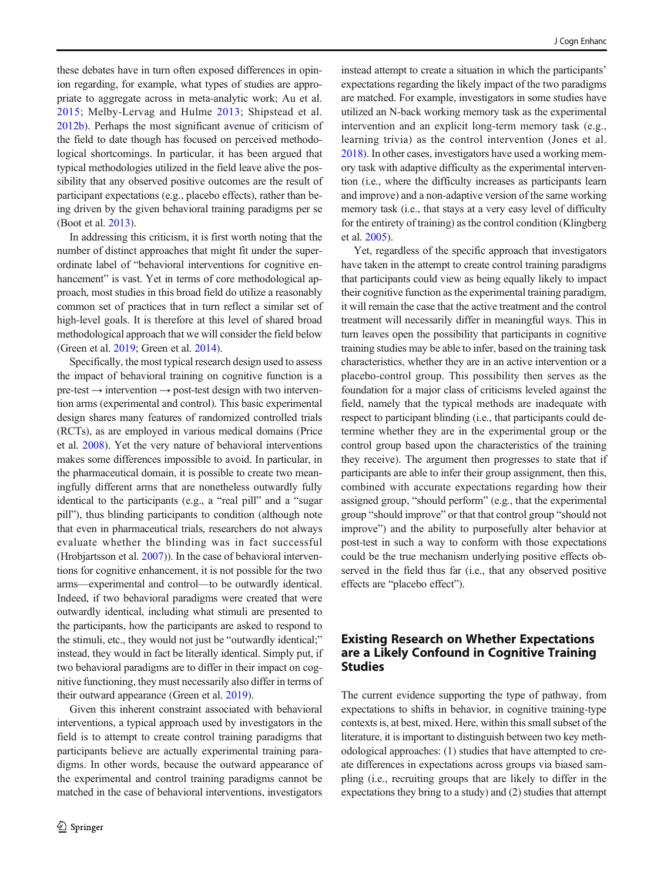these debates have in turn often exposed differences in opinion regarding, for example, what types of studies are appropriate to aggregate across in meta-analytic work; Au et al. [2015](#page-13-0); Melby-Lervag and Hulme [2013;](#page-14-0) Shipstead et al. [2012b](#page-14-0)). Perhaps the most significant avenue of criticism of the field to date though has focused on perceived methodological shortcomings. In particular, it has been argued that typical methodologies utilized in the field leave alive the possibility that any observed positive outcomes are the result of participant expectations (e.g., placebo effects), rather than being driven by the given behavioral training paradigms per se (Boot et al. [2013\)](#page-13-0).

In addressing this criticism, it is first worth noting that the number of distinct approaches that might fit under the superordinate label of "behavioral interventions for cognitive enhancement" is vast. Yet in terms of core methodological approach, most studies in this broad field do utilize a reasonably common set of practices that in turn reflect a similar set of high-level goals. It is therefore at this level of shared broad methodological approach that we will consider the field below (Green et al. [2019;](#page-13-0) Green et al. [2014](#page-13-0)).

Specifically, the most typical research design used to assess the impact of behavioral training on cognitive function is a  $pre-test \rightarrow intervention \rightarrow post-test$  design with two intervention arms (experimental and control). This basic experimental design shares many features of randomized controlled trials (RCTs), as are employed in various medical domains (Price et al. [2008\)](#page-14-0). Yet the very nature of behavioral interventions makes some differences impossible to avoid. In particular, in the pharmaceutical domain, it is possible to create two meaningfully different arms that are nonetheless outwardly fully identical to the participants (e.g., a "real pill" and a "sugar pill"), thus blinding participants to condition (although note that even in pharmaceutical trials, researchers do not always evaluate whether the blinding was in fact successful (Hrobjartsson et al. [2007\)](#page-13-0)). In the case of behavioral interventions for cognitive enhancement, it is not possible for the two arms—experimental and control—to be outwardly identical. Indeed, if two behavioral paradigms were created that were outwardly identical, including what stimuli are presented to the participants, how the participants are asked to respond to the stimuli, etc., they would not just be "outwardly identical;" instead, they would in fact be literally identical. Simply put, if two behavioral paradigms are to differ in their impact on cognitive functioning, they must necessarily also differ in terms of their outward appearance (Green et al. [2019](#page-13-0)).

Given this inherent constraint associated with behavioral interventions, a typical approach used by investigators in the field is to attempt to create control training paradigms that participants believe are actually experimental training paradigms. In other words, because the outward appearance of the experimental and control training paradigms cannot be matched in the case of behavioral interventions, investigators

instead attempt to create a situation in which the participants' expectations regarding the likely impact of the two paradigms are matched. For example, investigators in some studies have utilized an N-back working memory task as the experimental intervention and an explicit long-term memory task (e.g., learning trivia) as the control intervention (Jones et al. [2018\)](#page-13-0). In other cases, investigators have used a working memory task with adaptive difficulty as the experimental intervention (i.e., where the difficulty increases as participants learn and improve) and a non-adaptive version of the same working memory task (i.e., that stays at a very easy level of difficulty for the entirety of training) as the control condition (Klingberg et al. [2005](#page-13-0)).

Yet, regardless of the specific approach that investigators have taken in the attempt to create control training paradigms that participants could view as being equally likely to impact their cognitive function as the experimental training paradigm, it will remain the case that the active treatment and the control treatment will necessarily differ in meaningful ways. This in turn leaves open the possibility that participants in cognitive training studies may be able to infer, based on the training task characteristics, whether they are in an active intervention or a placebo-control group. This possibility then serves as the foundation for a major class of criticisms leveled against the field, namely that the typical methods are inadequate with respect to participant blinding (i.e., that participants could determine whether they are in the experimental group or the control group based upon the characteristics of the training they receive). The argument then progresses to state that if participants are able to infer their group assignment, then this, combined with accurate expectations regarding how their assigned group, "should perform" (e.g., that the experimental group "should improve" or that that control group "should not improve") and the ability to purposefully alter behavior at post-test in such a way to conform with those expectations could be the true mechanism underlying positive effects observed in the field thus far (i.e., that any observed positive effects are "placebo effect").

# Existing Research on Whether Expectations are a Likely Confound in Cognitive Training Studies

The current evidence supporting the type of pathway, from expectations to shifts in behavior, in cognitive training-type contexts is, at best, mixed. Here, within this small subset of the literature, it is important to distinguish between two key methodological approaches: (1) studies that have attempted to create differences in expectations across groups via biased sampling (i.e., recruiting groups that are likely to differ in the expectations they bring to a study) and (2) studies that attempt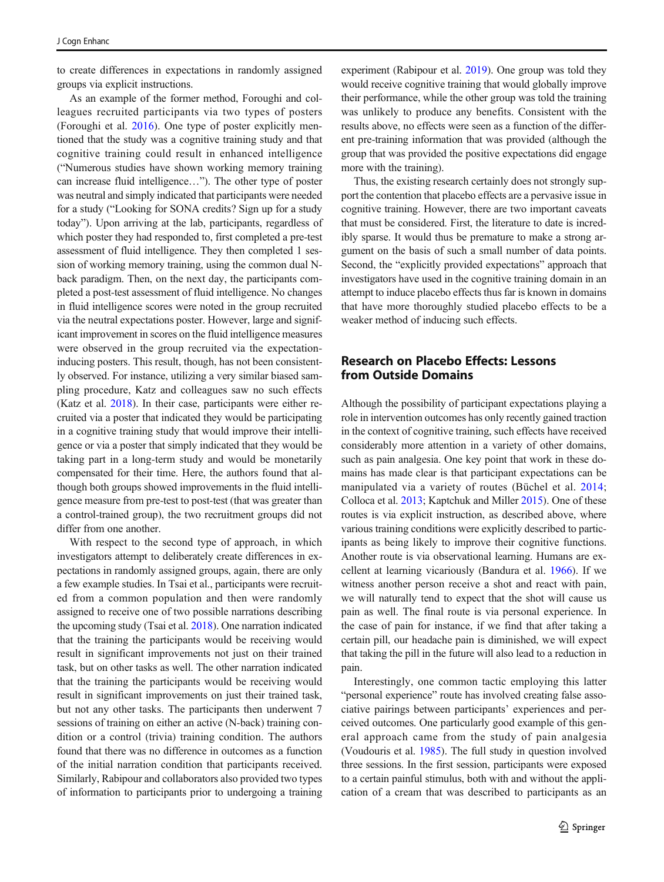to create differences in expectations in randomly assigned groups via explicit instructions.

As an example of the former method, Foroughi and colleagues recruited participants via two types of posters (Foroughi et al. [2016](#page-13-0)). One type of poster explicitly mentioned that the study was a cognitive training study and that cognitive training could result in enhanced intelligence ("Numerous studies have shown working memory training can increase fluid intelligence…"). The other type of poster was neutral and simply indicated that participants were needed for a study ("Looking for SONA credits? Sign up for a study today"). Upon arriving at the lab, participants, regardless of which poster they had responded to, first completed a pre-test assessment of fluid intelligence. They then completed 1 session of working memory training, using the common dual Nback paradigm. Then, on the next day, the participants completed a post-test assessment of fluid intelligence. No changes in fluid intelligence scores were noted in the group recruited via the neutral expectations poster. However, large and significant improvement in scores on the fluid intelligence measures were observed in the group recruited via the expectationinducing posters. This result, though, has not been consistently observed. For instance, utilizing a very similar biased sampling procedure, Katz and colleagues saw no such effects (Katz et al. [2018\)](#page-13-0). In their case, participants were either recruited via a poster that indicated they would be participating in a cognitive training study that would improve their intelligence or via a poster that simply indicated that they would be taking part in a long-term study and would be monetarily compensated for their time. Here, the authors found that although both groups showed improvements in the fluid intelligence measure from pre-test to post-test (that was greater than a control-trained group), the two recruitment groups did not differ from one another.

With respect to the second type of approach, in which investigators attempt to deliberately create differences in expectations in randomly assigned groups, again, there are only a few example studies. In Tsai et al., participants were recruited from a common population and then were randomly assigned to receive one of two possible narrations describing the upcoming study (Tsai et al. [2018\)](#page-14-0). One narration indicated that the training the participants would be receiving would result in significant improvements not just on their trained task, but on other tasks as well. The other narration indicated that the training the participants would be receiving would result in significant improvements on just their trained task, but not any other tasks. The participants then underwent 7 sessions of training on either an active (N-back) training condition or a control (trivia) training condition. The authors found that there was no difference in outcomes as a function of the initial narration condition that participants received. Similarly, Rabipour and collaborators also provided two types of information to participants prior to undergoing a training experiment (Rabipour et al. [2019](#page-14-0)). One group was told they would receive cognitive training that would globally improve their performance, while the other group was told the training was unlikely to produce any benefits. Consistent with the results above, no effects were seen as a function of the different pre-training information that was provided (although the group that was provided the positive expectations did engage more with the training).

Thus, the existing research certainly does not strongly support the contention that placebo effects are a pervasive issue in cognitive training. However, there are two important caveats that must be considered. First, the literature to date is incredibly sparse. It would thus be premature to make a strong argument on the basis of such a small number of data points. Second, the "explicitly provided expectations" approach that investigators have used in the cognitive training domain in an attempt to induce placebo effects thus far is known in domains that have more thoroughly studied placebo effects to be a weaker method of inducing such effects.

# Research on Placebo Effects: Lessons from Outside Domains

Although the possibility of participant expectations playing a role in intervention outcomes has only recently gained traction in the context of cognitive training, such effects have received considerably more attention in a variety of other domains, such as pain analgesia. One key point that work in these domains has made clear is that participant expectations can be manipulated via a variety of routes (Büchel et al. [2014;](#page-13-0) Colloca et al. [2013](#page-13-0); Kaptchuk and Miller [2015](#page-13-0)). One of these routes is via explicit instruction, as described above, where various training conditions were explicitly described to participants as being likely to improve their cognitive functions. Another route is via observational learning. Humans are excellent at learning vicariously (Bandura et al. [1966](#page-13-0)). If we witness another person receive a shot and react with pain, we will naturally tend to expect that the shot will cause us pain as well. The final route is via personal experience. In the case of pain for instance, if we find that after taking a certain pill, our headache pain is diminished, we will expect that taking the pill in the future will also lead to a reduction in pain.

Interestingly, one common tactic employing this latter "personal experience" route has involved creating false associative pairings between participants' experiences and perceived outcomes. One particularly good example of this general approach came from the study of pain analgesia (Voudouris et al. [1985\)](#page-14-0). The full study in question involved three sessions. In the first session, participants were exposed to a certain painful stimulus, both with and without the application of a cream that was described to participants as an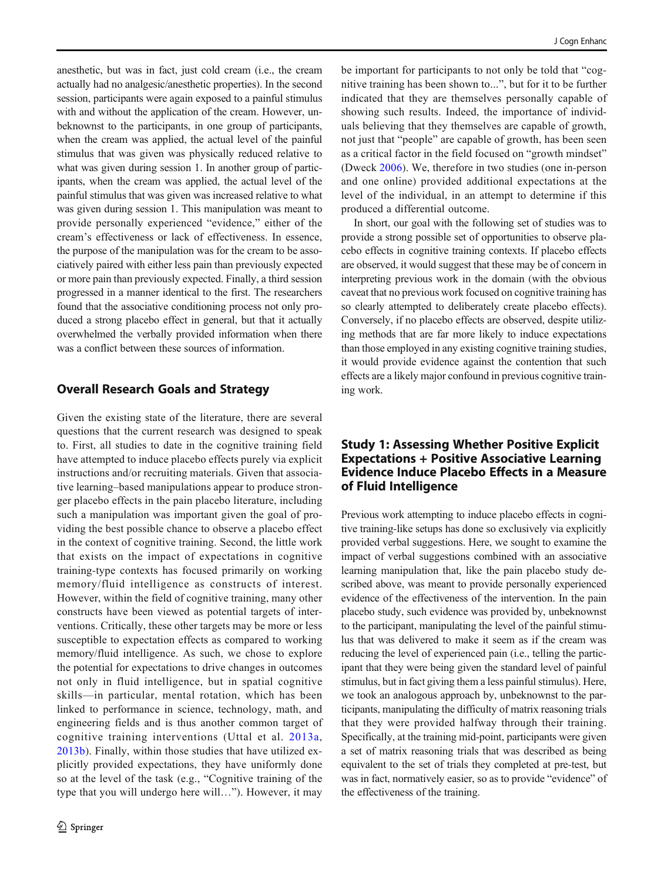anesthetic, but was in fact, just cold cream (i.e., the cream actually had no analgesic/anesthetic properties). In the second session, participants were again exposed to a painful stimulus with and without the application of the cream. However, unbeknownst to the participants, in one group of participants, when the cream was applied, the actual level of the painful stimulus that was given was physically reduced relative to what was given during session 1. In another group of participants, when the cream was applied, the actual level of the painful stimulus that was given was increased relative to what was given during session 1. This manipulation was meant to provide personally experienced "evidence," either of the cream's effectiveness or lack of effectiveness. In essence, the purpose of the manipulation was for the cream to be associatively paired with either less pain than previously expected or more pain than previously expected. Finally, a third session progressed in a manner identical to the first. The researchers found that the associative conditioning process not only produced a strong placebo effect in general, but that it actually overwhelmed the verbally provided information when there was a conflict between these sources of information.

# Overall Research Goals and Strategy

Given the existing state of the literature, there are several questions that the current research was designed to speak to. First, all studies to date in the cognitive training field have attempted to induce placebo effects purely via explicit instructions and/or recruiting materials. Given that associative learning–based manipulations appear to produce stronger placebo effects in the pain placebo literature, including such a manipulation was important given the goal of providing the best possible chance to observe a placebo effect in the context of cognitive training. Second, the little work that exists on the impact of expectations in cognitive training-type contexts has focused primarily on working memory/fluid intelligence as constructs of interest. However, within the field of cognitive training, many other constructs have been viewed as potential targets of interventions. Critically, these other targets may be more or less susceptible to expectation effects as compared to working memory/fluid intelligence. As such, we chose to explore the potential for expectations to drive changes in outcomes not only in fluid intelligence, but in spatial cognitive skills—in particular, mental rotation, which has been linked to performance in science, technology, math, and engineering fields and is thus another common target of cognitive training interventions (Uttal et al. [2013a,](#page-14-0) [2013b](#page-14-0)). Finally, within those studies that have utilized explicitly provided expectations, they have uniformly done so at the level of the task (e.g., "Cognitive training of the type that you will undergo here will…"). However, it may

be important for participants to not only be told that "cognitive training has been shown to...", but for it to be further indicated that they are themselves personally capable of showing such results. Indeed, the importance of individuals believing that they themselves are capable of growth, not just that "people" are capable of growth, has been seen as a critical factor in the field focused on "growth mindset" (Dweck [2006\)](#page-13-0). We, therefore in two studies (one in-person and one online) provided additional expectations at the level of the individual, in an attempt to determine if this produced a differential outcome.

In short, our goal with the following set of studies was to provide a strong possible set of opportunities to observe placebo effects in cognitive training contexts. If placebo effects are observed, it would suggest that these may be of concern in interpreting previous work in the domain (with the obvious caveat that no previous work focused on cognitive training has so clearly attempted to deliberately create placebo effects). Conversely, if no placebo effects are observed, despite utilizing methods that are far more likely to induce expectations than those employed in any existing cognitive training studies, it would provide evidence against the contention that such effects are a likely major confound in previous cognitive training work.

# Study 1: Assessing Whether Positive Explicit Expectations + Positive Associative Learning Evidence Induce Placebo Effects in a Measure of Fluid Intelligence

Previous work attempting to induce placebo effects in cognitive training-like setups has done so exclusively via explicitly provided verbal suggestions. Here, we sought to examine the impact of verbal suggestions combined with an associative learning manipulation that, like the pain placebo study described above, was meant to provide personally experienced evidence of the effectiveness of the intervention. In the pain placebo study, such evidence was provided by, unbeknownst to the participant, manipulating the level of the painful stimulus that was delivered to make it seem as if the cream was reducing the level of experienced pain (i.e., telling the participant that they were being given the standard level of painful stimulus, but in fact giving them a less painful stimulus). Here, we took an analogous approach by, unbeknownst to the participants, manipulating the difficulty of matrix reasoning trials that they were provided halfway through their training. Specifically, at the training mid-point, participants were given a set of matrix reasoning trials that was described as being equivalent to the set of trials they completed at pre-test, but was in fact, normatively easier, so as to provide "evidence" of the effectiveness of the training.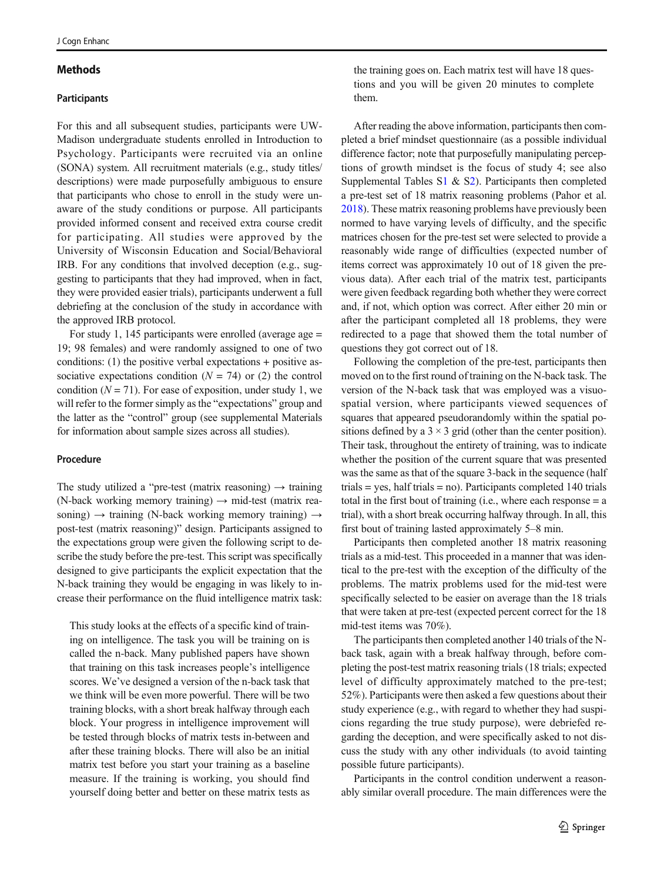#### **Methods**

#### **Participants**

For this and all subsequent studies, participants were UW-Madison undergraduate students enrolled in Introduction to Psychology. Participants were recruited via an online (SONA) system. All recruitment materials (e.g., study titles/ descriptions) were made purposefully ambiguous to ensure that participants who chose to enroll in the study were unaware of the study conditions or purpose. All participants provided informed consent and received extra course credit for participating. All studies were approved by the University of Wisconsin Education and Social/Behavioral IRB. For any conditions that involved deception (e.g., suggesting to participants that they had improved, when in fact, they were provided easier trials), participants underwent a full debriefing at the conclusion of the study in accordance with the approved IRB protocol.

For study 1, 145 participants were enrolled (average age = 19; 98 females) and were randomly assigned to one of two conditions: (1) the positive verbal expectations + positive associative expectations condition  $(N = 74)$  or (2) the control condition  $(N = 71)$ . For ease of exposition, under study 1, we will refer to the former simply as the "expectations" group and the latter as the "control" group (see supplemental Materials for information about sample sizes across all studies).

#### Procedure

The study utilized a "pre-test (matrix reasoning)  $\rightarrow$  training (N-back working memory training)  $\rightarrow$  mid-test (matrix reasoning)  $\rightarrow$  training (N-back working memory training)  $\rightarrow$ post-test (matrix reasoning)" design. Participants assigned to the expectations group were given the following script to describe the study before the pre-test. This script was specifically designed to give participants the explicit expectation that the N-back training they would be engaging in was likely to increase their performance on the fluid intelligence matrix task:

This study looks at the effects of a specific kind of training on intelligence. The task you will be training on is called the n-back. Many published papers have shown that training on this task increases people's intelligence scores. We've designed a version of the n-back task that we think will be even more powerful. There will be two training blocks, with a short break halfway through each block. Your progress in intelligence improvement will be tested through blocks of matrix tests in-between and after these training blocks. There will also be an initial matrix test before you start your training as a baseline measure. If the training is working, you should find yourself doing better and better on these matrix tests as the training goes on. Each matrix test will have 18 questions and you will be given 20 minutes to complete them.

After reading the above information, participants then completed a brief mindset questionnaire (as a possible individual difference factor; note that purposefully manipulating perceptions of growth mindset is the focus of study 4; see also Supplemental Tables S1 & S2). Participants then completed a pre-test set of 18 matrix reasoning problems (Pahor et al. [2018\)](#page-14-0). These matrix reasoning problems have previously been normed to have varying levels of difficulty, and the specific matrices chosen for the pre-test set were selected to provide a reasonably wide range of difficulties (expected number of items correct was approximately 10 out of 18 given the previous data). After each trial of the matrix test, participants were given feedback regarding both whether they were correct and, if not, which option was correct. After either 20 min or after the participant completed all 18 problems, they were redirected to a page that showed them the total number of questions they got correct out of 18.

Following the completion of the pre-test, participants then moved on to the first round of training on the N-back task. The version of the N-back task that was employed was a visuospatial version, where participants viewed sequences of squares that appeared pseudorandomly within the spatial positions defined by a  $3 \times 3$  grid (other than the center position). Their task, throughout the entirety of training, was to indicate whether the position of the current square that was presented was the same as that of the square 3-back in the sequence (half trials = yes, half trials = no). Participants completed 140 trials total in the first bout of training (i.e., where each response = a trial), with a short break occurring halfway through. In all, this first bout of training lasted approximately 5–8 min.

Participants then completed another 18 matrix reasoning trials as a mid-test. This proceeded in a manner that was identical to the pre-test with the exception of the difficulty of the problems. The matrix problems used for the mid-test were specifically selected to be easier on average than the 18 trials that were taken at pre-test (expected percent correct for the 18 mid-test items was 70%).

The participants then completed another 140 trials of the Nback task, again with a break halfway through, before completing the post-test matrix reasoning trials (18 trials; expected level of difficulty approximately matched to the pre-test; 52%). Participants were then asked a few questions about their study experience (e.g., with regard to whether they had suspicions regarding the true study purpose), were debriefed regarding the deception, and were specifically asked to not discuss the study with any other individuals (to avoid tainting possible future participants).

Participants in the control condition underwent a reasonably similar overall procedure. The main differences were the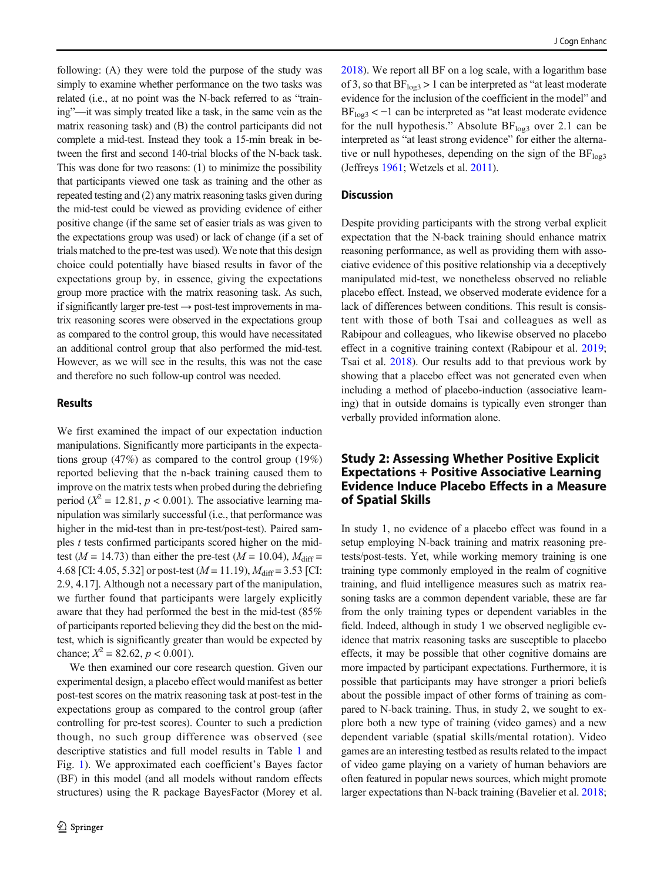following: (A) they were told the purpose of the study was simply to examine whether performance on the two tasks was related (i.e., at no point was the N-back referred to as "training"—it was simply treated like a task, in the same vein as the matrix reasoning task) and (B) the control participants did not complete a mid-test. Instead they took a 15-min break in between the first and second 140-trial blocks of the N-back task. This was done for two reasons: (1) to minimize the possibility that participants viewed one task as training and the other as repeated testing and (2) any matrix reasoning tasks given during the mid-test could be viewed as providing evidence of either positive change (if the same set of easier trials as was given to the expectations group was used) or lack of change (if a set of trials matched to the pre-test was used). We note that this design choice could potentially have biased results in favor of the expectations group by, in essence, giving the expectations group more practice with the matrix reasoning task. As such, if significantly larger pre-test  $\rightarrow$  post-test improvements in matrix reasoning scores were observed in the expectations group as compared to the control group, this would have necessitated an additional control group that also performed the mid-test. However, as we will see in the results, this was not the case and therefore no such follow-up control was needed.

### **Results**

We first examined the impact of our expectation induction manipulations. Significantly more participants in the expectations group (47%) as compared to the control group (19%) reported believing that the n-back training caused them to improve on the matrix tests when probed during the debriefing period ( $X^2 = 12.81$ ,  $p < 0.001$ ). The associative learning manipulation was similarly successful (i.e., that performance was higher in the mid-test than in pre-test/post-test). Paired samples *t* tests confirmed participants scored higher on the midtest ( $M = 14.73$ ) than either the pre-test ( $M = 10.04$ ),  $M_{\text{diff}} =$ 4.68 [CI: 4.05, 5.32] or post-test (*M* = 11.19),  $M_{\text{diff}}$  = 3.53 [CI: 2.9, 4.17]. Although not a necessary part of the manipulation, we further found that participants were largely explicitly aware that they had performed the best in the mid-test (85% of participants reported believing they did the best on the midtest, which is significantly greater than would be expected by chance;  $X^2 = 82.62, p < 0.001$ ).

We then examined our core research question. Given our experimental design, a placebo effect would manifest as better post-test scores on the matrix reasoning task at post-test in the expectations group as compared to the control group (after controlling for pre-test scores). Counter to such a prediction though, no such group difference was observed (see descriptive statistics and full model results in Table [1](#page-6-0) and Fig. [1\)](#page-6-0). We approximated each coefficient's Bayes factor (BF) in this model (and all models without random effects structures) using the R package BayesFactor (Morey et al. [2018\)](#page-14-0). We report all BF on a log scale, with a logarithm base of 3, so that  $BF_{\text{log}3} > 1$  can be interpreted as "at least moderate evidence for the inclusion of the coefficient in the model" and  $BF<sub>log3</sub> < -1$  can be interpreted as "at least moderate evidence for the null hypothesis." Absolute  $BF<sub>log3</sub>$  over 2.1 can be interpreted as "at least strong evidence" for either the alternative or null hypotheses, depending on the sign of the  $BF<sub>log3</sub>$ (Jeffreys [1961;](#page-13-0) Wetzels et al. [2011\)](#page-14-0).

### **Discussion**

Despite providing participants with the strong verbal explicit expectation that the N-back training should enhance matrix reasoning performance, as well as providing them with associative evidence of this positive relationship via a deceptively manipulated mid-test, we nonetheless observed no reliable placebo effect. Instead, we observed moderate evidence for a lack of differences between conditions. This result is consistent with those of both Tsai and colleagues as well as Rabipour and colleagues, who likewise observed no placebo effect in a cognitive training context (Rabipour et al. [2019;](#page-14-0) Tsai et al. [2018\)](#page-14-0). Our results add to that previous work by showing that a placebo effect was not generated even when including a method of placebo-induction (associative learning) that in outside domains is typically even stronger than verbally provided information alone.

## Study 2: Assessing Whether Positive Explicit Expectations + Positive Associative Learning Evidence Induce Placebo Effects in a Measure of Spatial Skills

In study 1, no evidence of a placebo effect was found in a setup employing N-back training and matrix reasoning pretests/post-tests. Yet, while working memory training is one training type commonly employed in the realm of cognitive training, and fluid intelligence measures such as matrix reasoning tasks are a common dependent variable, these are far from the only training types or dependent variables in the field. Indeed, although in study 1 we observed negligible evidence that matrix reasoning tasks are susceptible to placebo effects, it may be possible that other cognitive domains are more impacted by participant expectations. Furthermore, it is possible that participants may have stronger a priori beliefs about the possible impact of other forms of training as compared to N-back training. Thus, in study 2, we sought to explore both a new type of training (video games) and a new dependent variable (spatial skills/mental rotation). Video games are an interesting testbed as results related to the impact of video game playing on a variety of human behaviors are often featured in popular news sources, which might promote larger expectations than N-back training (Bavelier et al. [2018;](#page-13-0)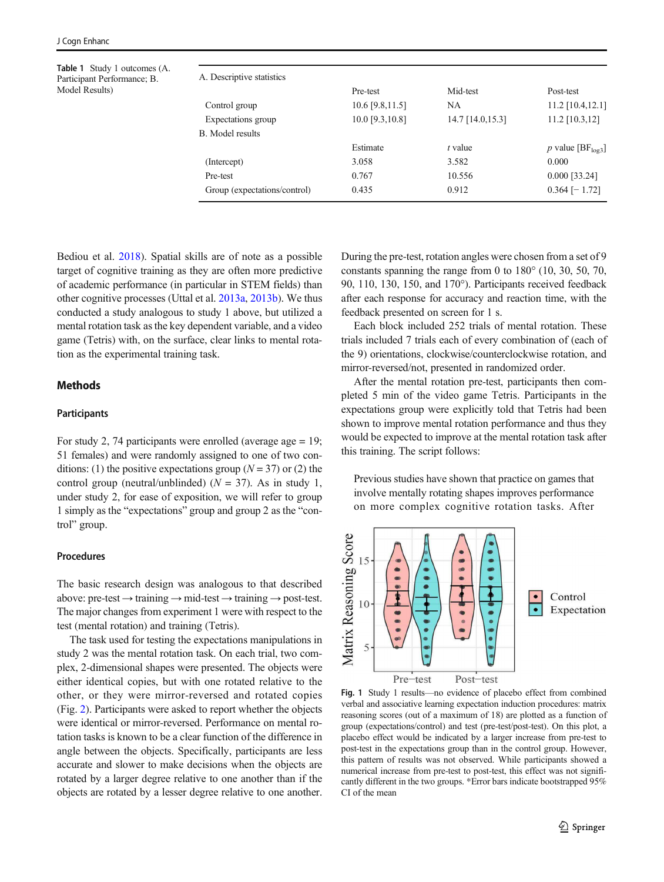<span id="page-6-0"></span>Table 1 Study 1 outcomes (A. Participant Performance; B. Model Results)

| A. Descriptive statistics    |                   |                  |                                |
|------------------------------|-------------------|------------------|--------------------------------|
|                              | Pre-test          | Mid-test         | Post-test                      |
| Control group                | $10.6$ [9.8,11.5] | NA               | 11.2 [10.4,12.1]               |
| Expectations group           | 10.0 [9.3,10.8]   | 14.7 [14.0,15.3] | $11.2$ [10.3,12]               |
| <b>B.</b> Model results      |                   |                  |                                |
|                              | Estimate          | t value          | p value [ $BF_{\text{log3}}$ ] |
| (Intercept)                  | 3.058             | 3.582            | 0.000                          |
| Pre-test                     | 0.767             | 10.556           | $0.000$ [33.24]                |
| Group (expectations/control) | 0.435             | 0.912            | $0.364$ [-1.72]                |
|                              |                   |                  |                                |

Bediou et al. [2018](#page-13-0)). Spatial skills are of note as a possible target of cognitive training as they are often more predictive of academic performance (in particular in STEM fields) than other cognitive processes (Uttal et al. [2013a,](#page-14-0) [2013b](#page-14-0)). We thus conducted a study analogous to study 1 above, but utilized a mental rotation task as the key dependent variable, and a video game (Tetris) with, on the surface, clear links to mental rotation as the experimental training task.

### **Methods**

#### **Participants**

For study 2, 74 participants were enrolled (average age  $= 19$ ; 51 females) and were randomly assigned to one of two conditions: (1) the positive expectations group ( $N = 37$ ) or (2) the control group (neutral/unblinded) (*N* = 37). As in study 1, under study 2, for ease of exposition, we will refer to group 1 simply as the "expectations" group and group 2 as the "control" group.

#### Procedures

The basic research design was analogous to that described above: pre-test  $\rightarrow$  training  $\rightarrow$  mid-test  $\rightarrow$  training  $\rightarrow$  post-test. The major changes from experiment 1 were with respect to the test (mental rotation) and training (Tetris).

The task used for testing the expectations manipulations in study 2 was the mental rotation task. On each trial, two complex, 2-dimensional shapes were presented. The objects were either identical copies, but with one rotated relative to the other, or they were mirror-reversed and rotated copies (Fig. [2\)](#page-7-0). Participants were asked to report whether the objects were identical or mirror-reversed. Performance on mental rotation tasks is known to be a clear function of the difference in angle between the objects. Specifically, participants are less accurate and slower to make decisions when the objects are rotated by a larger degree relative to one another than if the objects are rotated by a lesser degree relative to one another. During the pre-test, rotation angles were chosen from a set of 9 constants spanning the range from 0 to 180° (10, 30, 50, 70, 90, 110, 130, 150, and 170°). Participants received feedback after each response for accuracy and reaction time, with the feedback presented on screen for 1 s.

Each block included 252 trials of mental rotation. These trials included 7 trials each of every combination of (each of the 9) orientations, clockwise/counterclockwise rotation, and mirror-reversed/not, presented in randomized order.

After the mental rotation pre-test, participants then completed 5 min of the video game Tetris. Participants in the expectations group were explicitly told that Tetris had been shown to improve mental rotation performance and thus they would be expected to improve at the mental rotation task after this training. The script follows:

Previous studies have shown that practice on games that involve mentally rotating shapes improves performance on more complex cognitive rotation tasks. After



Fig. 1 Study 1 results—no evidence of placebo effect from combined verbal and associative learning expectation induction procedures: matrix reasoning scores (out of a maximum of 18) are plotted as a function of group (expectations/control) and test (pre-test/post-test). On this plot, a placebo effect would be indicated by a larger increase from pre-test to post-test in the expectations group than in the control group. However, this pattern of results was not observed. While participants showed a numerical increase from pre-test to post-test, this effect was not significantly different in the two groups. \*Error bars indicate bootstrapped 95% CI of the mean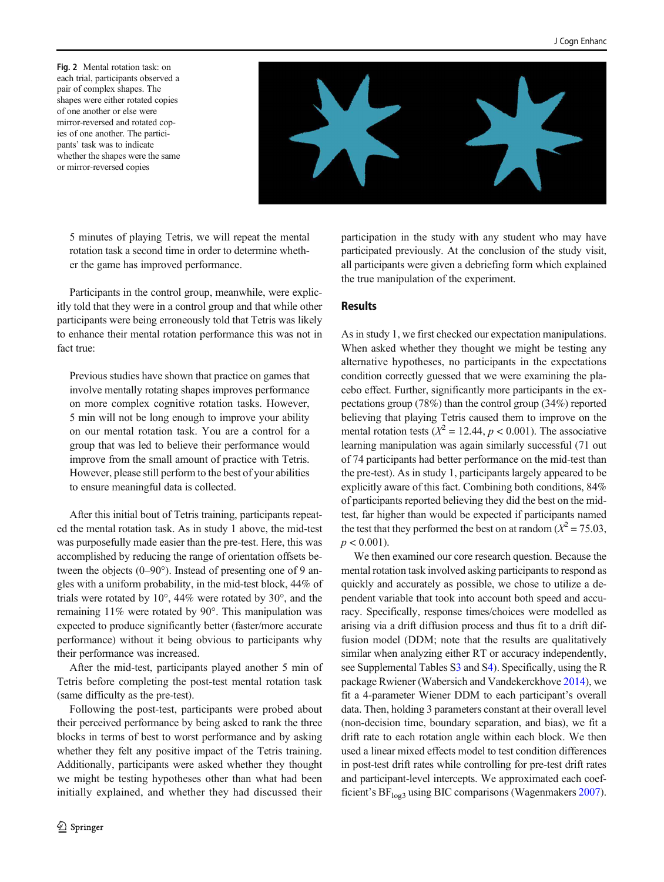<span id="page-7-0"></span>Fig. 2 Mental rotation task: on each trial, participants observed a pair of complex shapes. The shapes were either rotated copies of one another or else were mirror-reversed and rotated copies of one another. The participants' task was to indicate whether the shapes were the same or mirror-reversed copies



5 minutes of playing Tetris, we will repeat the mental rotation task a second time in order to determine whether the game has improved performance.

Participants in the control group, meanwhile, were explicitly told that they were in a control group and that while other participants were being erroneously told that Tetris was likely to enhance their mental rotation performance this was not in fact true:

Previous studies have shown that practice on games that involve mentally rotating shapes improves performance on more complex cognitive rotation tasks. However, 5 min will not be long enough to improve your ability on our mental rotation task. You are a control for a group that was led to believe their performance would improve from the small amount of practice with Tetris. However, please still perform to the best of your abilities to ensure meaningful data is collected.

After this initial bout of Tetris training, participants repeated the mental rotation task. As in study 1 above, the mid-test was purposefully made easier than the pre-test. Here, this was accomplished by reducing the range of orientation offsets between the objects (0–90°). Instead of presenting one of 9 angles with a uniform probability, in the mid-test block, 44% of trials were rotated by 10°, 44% were rotated by 30°, and the remaining 11% were rotated by 90°. This manipulation was expected to produce significantly better (faster/more accurate performance) without it being obvious to participants why their performance was increased.

After the mid-test, participants played another 5 min of Tetris before completing the post-test mental rotation task (same difficulty as the pre-test).

Following the post-test, participants were probed about their perceived performance by being asked to rank the three blocks in terms of best to worst performance and by asking whether they felt any positive impact of the Tetris training. Additionally, participants were asked whether they thought we might be testing hypotheses other than what had been initially explained, and whether they had discussed their participation in the study with any student who may have participated previously. At the conclusion of the study visit, all participants were given a debriefing form which explained the true manipulation of the experiment.

### Results

As in study 1, we first checked our expectation manipulations. When asked whether they thought we might be testing any alternative hypotheses, no participants in the expectations condition correctly guessed that we were examining the placebo effect. Further, significantly more participants in the expectations group (78%) than the control group (34%) reported believing that playing Tetris caused them to improve on the mental rotation tests ( $X^2 = 12.44$ ,  $p < 0.001$ ). The associative learning manipulation was again similarly successful (71 out of 74 participants had better performance on the mid-test than the pre-test). As in study 1, participants largely appeared to be explicitly aware of this fact. Combining both conditions, 84% of participants reported believing they did the best on the midtest, far higher than would be expected if participants named the test that they performed the best on at random  $(X^2 = 75.03)$ ,  $p < 0.001$ ).

We then examined our core research question. Because the mental rotation task involved asking participants to respond as quickly and accurately as possible, we chose to utilize a dependent variable that took into account both speed and accuracy. Specifically, response times/choices were modelled as arising via a drift diffusion process and thus fit to a drift diffusion model (DDM; note that the results are qualitatively similar when analyzing either RT or accuracy independently, see Supplemental Tables S3 and S4). Specifically, using the R package Rwiener (Wabersich and Vandekerckhove [2014](#page-14-0)), we fit a 4-parameter Wiener DDM to each participant's overall data. Then, holding 3 parameters constant at their overall level (non-decision time, boundary separation, and bias), we fit a drift rate to each rotation angle within each block. We then used a linear mixed effects model to test condition differences in post-test drift rates while controlling for pre-test drift rates and participant-level intercepts. We approximated each coef-ficient's BF<sub>log3</sub> using BIC comparisons (Wagenmakers [2007\)](#page-14-0).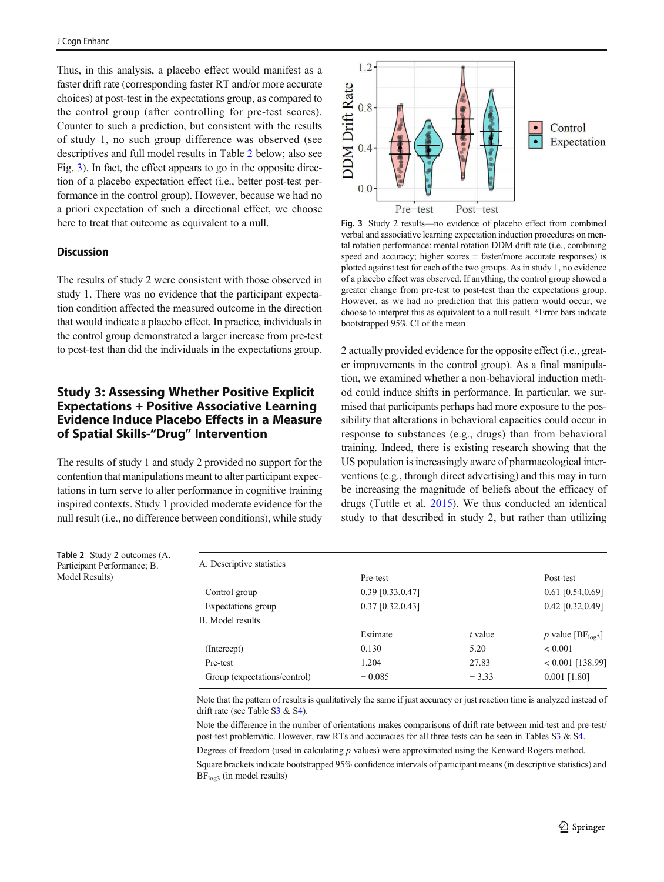Thus, in this analysis, a placebo effect would manifest as a faster drift rate (corresponding faster RT and/or more accurate choices) at post-test in the expectations group, as compared to the control group (after controlling for pre-test scores). Counter to such a prediction, but consistent with the results of study 1, no such group difference was observed (see descriptives and full model results in Table 2 below; also see Fig. 3). In fact, the effect appears to go in the opposite direction of a placebo expectation effect (i.e., better post-test performance in the control group). However, because we had no a priori expectation of such a directional effect, we choose here to treat that outcome as equivalent to a null.

#### **Discussion**

The results of study 2 were consistent with those observed in study 1. There was no evidence that the participant expectation condition affected the measured outcome in the direction that would indicate a placebo effect. In practice, individuals in the control group demonstrated a larger increase from pre-test to post-test than did the individuals in the expectations group.

# Study 3: Assessing Whether Positive Explicit Expectations + Positive Associative Learning Evidence Induce Placebo Effects in a Measure of Spatial Skills-"Drug" Intervention

The results of study 1 and study 2 provided no support for the contention that manipulations meant to alter participant expectations in turn serve to alter performance in cognitive training inspired contexts. Study 1 provided moderate evidence for the null result (i.e., no difference between conditions), while study

Table 2 Study 2 outcomes (A. Participant Performance; B.

Model Results)



Fig. 3 Study 2 results—no evidence of placebo effect from combined verbal and associative learning expectation induction procedures on mental rotation performance: mental rotation DDM drift rate (i.e., combining speed and accuracy; higher scores = faster/more accurate responses) is plotted against test for each of the two groups. As in study 1, no evidence of a placebo effect was observed. If anything, the control group showed a greater change from pre-test to post-test than the expectations group. However, as we had no prediction that this pattern would occur, we choose to interpret this as equivalent to a null result. \*Error bars indicate bootstrapped 95% CI of the mean

2 actually provided evidence for the opposite effect (i.e., greater improvements in the control group). As a final manipulation, we examined whether a non-behavioral induction method could induce shifts in performance. In particular, we surmised that participants perhaps had more exposure to the possibility that alterations in behavioral capacities could occur in response to substances (e.g., drugs) than from behavioral training. Indeed, there is existing research showing that the US population is increasingly aware of pharmacological interventions (e.g., through direct advertising) and this may in turn be increasing the magnitude of beliefs about the efficacy of drugs (Tuttle et al. [2015](#page-14-0)). We thus conducted an identical study to that described in study 2, but rather than utilizing

| A. Descriptive statistics    |                    |           |                      |
|------------------------------|--------------------|-----------|----------------------|
|                              | Pre-test           |           | Post-test            |
| Control group                | $0.39$ [0.33,0.47] |           | $0.61$ [0.54,0.69]   |
| Expectations group           | $0.37$ [0.32,0.43] |           | 0.42 [0.32,0.49]     |
| <b>B.</b> Model results      |                    |           |                      |
|                              | Estimate           | $t$ value | p value [ $BFlog3$ ] |
| (Intercept)                  | 0.130              | 5.20      | < 0.001              |
| Pre-test                     | 1.204              | 27.83     | $< 0.001$ [138.99]   |
| Group (expectations/control) | $-0.085$           | $-3.33$   | $0.001$ [1.80]       |
|                              |                    |           |                      |

Note that the pattern of results is qualitatively the same if just accuracy or just reaction time is analyzed instead of drift rate (see Table S3 & S4).

Note the difference in the number of orientations makes comparisons of drift rate between mid-test and pre-test/ post-test problematic. However, raw RTs and accuracies for all three tests can be seen in Tables S3 & S4.

Degrees of freedom (used in calculating *p* values) were approximated using the Kenward-Rogers method. Square brackets indicate bootstrapped 95% confidence intervals of participant means (in descriptive statistics) and  $BF<sub>log3</sub>$  (in model results)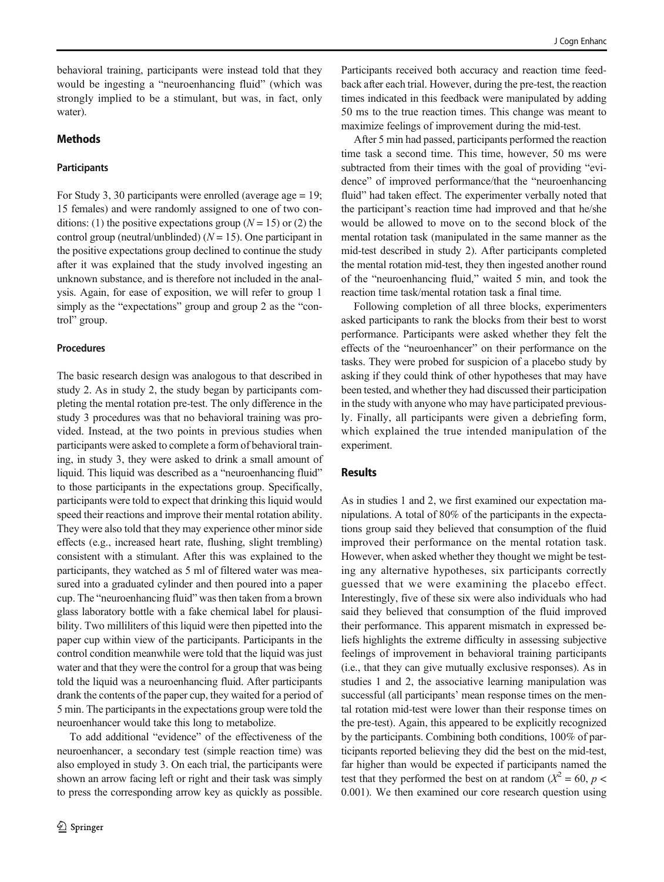behavioral training, participants were instead told that they would be ingesting a "neuroenhancing fluid" (which was strongly implied to be a stimulant, but was, in fact, only water).

### **Methods**

#### **Participants**

For Study 3, 30 participants were enrolled (average age = 19; 15 females) and were randomly assigned to one of two conditions: (1) the positive expectations group ( $N = 15$ ) or (2) the control group (neutral/unblinded) (*N* = 15). One participant in the positive expectations group declined to continue the study after it was explained that the study involved ingesting an unknown substance, and is therefore not included in the analysis. Again, for ease of exposition, we will refer to group 1 simply as the "expectations" group and group 2 as the "control" group.

#### Procedures

The basic research design was analogous to that described in study 2. As in study 2, the study began by participants completing the mental rotation pre-test. The only difference in the study 3 procedures was that no behavioral training was provided. Instead, at the two points in previous studies when participants were asked to complete a form of behavioral training, in study 3, they were asked to drink a small amount of liquid. This liquid was described as a "neuroenhancing fluid" to those participants in the expectations group. Specifically, participants were told to expect that drinking this liquid would speed their reactions and improve their mental rotation ability. They were also told that they may experience other minor side effects (e.g., increased heart rate, flushing, slight trembling) consistent with a stimulant. After this was explained to the participants, they watched as 5 ml of filtered water was measured into a graduated cylinder and then poured into a paper cup. The "neuroenhancing fluid" was then taken from a brown glass laboratory bottle with a fake chemical label for plausibility. Two milliliters of this liquid were then pipetted into the paper cup within view of the participants. Participants in the control condition meanwhile were told that the liquid was just water and that they were the control for a group that was being told the liquid was a neuroenhancing fluid. After participants drank the contents of the paper cup, they waited for a period of 5 min. The participants in the expectations group were told the neuroenhancer would take this long to metabolize.

To add additional "evidence" of the effectiveness of the neuroenhancer, a secondary test (simple reaction time) was also employed in study 3. On each trial, the participants were shown an arrow facing left or right and their task was simply to press the corresponding arrow key as quickly as possible.

Participants received both accuracy and reaction time feedback after each trial. However, during the pre-test, the reaction times indicated in this feedback were manipulated by adding 50 ms to the true reaction times. This change was meant to maximize feelings of improvement during the mid-test.

After 5 min had passed, participants performed the reaction time task a second time. This time, however, 50 ms were subtracted from their times with the goal of providing "evidence" of improved performance/that the "neuroenhancing fluid" had taken effect. The experimenter verbally noted that the participant's reaction time had improved and that he/she would be allowed to move on to the second block of the mental rotation task (manipulated in the same manner as the mid-test described in study 2). After participants completed the mental rotation mid-test, they then ingested another round of the "neuroenhancing fluid," waited 5 min, and took the reaction time task/mental rotation task a final time.

Following completion of all three blocks, experimenters asked participants to rank the blocks from their best to worst performance. Participants were asked whether they felt the effects of the "neuroenhancer" on their performance on the tasks. They were probed for suspicion of a placebo study by asking if they could think of other hypotheses that may have been tested, and whether they had discussed their participation in the study with anyone who may have participated previously. Finally, all participants were given a debriefing form, which explained the true intended manipulation of the experiment.

#### Results

As in studies 1 and 2, we first examined our expectation manipulations. A total of 80% of the participants in the expectations group said they believed that consumption of the fluid improved their performance on the mental rotation task. However, when asked whether they thought we might be testing any alternative hypotheses, six participants correctly guessed that we were examining the placebo effect. Interestingly, five of these six were also individuals who had said they believed that consumption of the fluid improved their performance. This apparent mismatch in expressed beliefs highlights the extreme difficulty in assessing subjective feelings of improvement in behavioral training participants (i.e., that they can give mutually exclusive responses). As in studies 1 and 2, the associative learning manipulation was successful (all participants' mean response times on the mental rotation mid-test were lower than their response times on the pre-test). Again, this appeared to be explicitly recognized by the participants. Combining both conditions, 100% of participants reported believing they did the best on the mid-test, far higher than would be expected if participants named the test that they performed the best on at random ( $X^2 = 60$ ,  $p <$ 0.001). We then examined our core research question using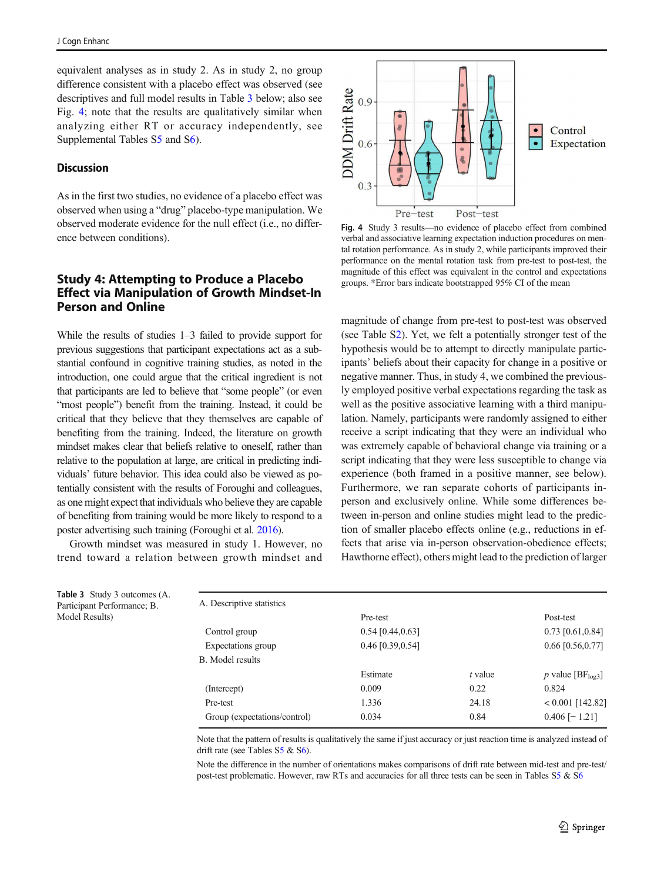equivalent analyses as in study 2. As in study 2, no group difference consistent with a placebo effect was observed (see descriptives and full model results in Table 3 below; also see Fig. 4; note that the results are qualitatively similar when analyzing either RT or accuracy independently, see Supplemental Tables S5 and S6).

#### **Discussion**

As in the first two studies, no evidence of a placebo effect was observed when using a "drug" placebo-type manipulation. We observed moderate evidence for the null effect (i.e., no difference between conditions).

# Study 4: Attempting to Produce a Placebo Effect via Manipulation of Growth Mindset-In Person and Online

While the results of studies 1–3 failed to provide support for previous suggestions that participant expectations act as a substantial confound in cognitive training studies, as noted in the introduction, one could argue that the critical ingredient is not that participants are led to believe that "some people" (or even "most people") benefit from the training. Instead, it could be critical that they believe that they themselves are capable of benefiting from the training. Indeed, the literature on growth mindset makes clear that beliefs relative to oneself, rather than relative to the population at large, are critical in predicting individuals' future behavior. This idea could also be viewed as potentially consistent with the results of Foroughi and colleagues, as one might expect that individuals who believe they are capable of benefiting from training would be more likely to respond to a poster advertising such training (Foroughi et al. [2016](#page-13-0)).

Growth mindset was measured in study 1. However, no trend toward a relation between growth mindset and



Fig. 4 Study 3 results—no evidence of placebo effect from combined verbal and associative learning expectation induction procedures on mental rotation performance. As in study 2, while participants improved their performance on the mental rotation task from pre-test to post-test, the magnitude of this effect was equivalent in the control and expectations groups. \*Error bars indicate bootstrapped 95% CI of the mean

magnitude of change from pre-test to post-test was observed (see Table S2). Yet, we felt a potentially stronger test of the hypothesis would be to attempt to directly manipulate participants' beliefs about their capacity for change in a positive or negative manner. Thus, in study 4, we combined the previously employed positive verbal expectations regarding the task as well as the positive associative learning with a third manipulation. Namely, participants were randomly assigned to either receive a script indicating that they were an individual who was extremely capable of behavioral change via training or a script indicating that they were less susceptible to change via experience (both framed in a positive manner, see below). Furthermore, we ran separate cohorts of participants inperson and exclusively online. While some differences between in-person and online studies might lead to the prediction of smaller placebo effects online (e.g., reductions in effects that arise via in-person observation-obedience effects; Hawthorne effect), others might lead to the prediction of larger

| A. Descriptive statistics    |                    |         |                              |
|------------------------------|--------------------|---------|------------------------------|
|                              | Pre-test           |         | Post-test                    |
| Control group                | $0.54$ [0.44,0.63] |         | $0.73$ [0.61,0.84]           |
| Expectations group           | $0.46$ [0.39,0.54] |         | $0.66$ [0.56,0.77]           |
| <b>B.</b> Model results      |                    |         |                              |
|                              | Estimate           | t value | p value $[BF_{\text{log3}}]$ |
| (Intercept)                  | 0.009              | 0.22    | 0.824                        |
| Pre-test                     | 1.336              | 24.18   | $< 0.001$ [142.82]           |
| Group (expectations/control) | 0.034              | 0.84    | $0.406$ [-1.21]              |
|                              |                    |         |                              |

Note that the pattern of results is qualitatively the same if just accuracy or just reaction time is analyzed instead of drift rate (see Tables S5 & S6).

Note the difference in the number of orientations makes comparisons of drift rate between mid-test and pre-test/ post-test problematic. However, raw RTs and accuracies for all three tests can be seen in Tables S5 & S6

|                | Table 3 Study 3 outcomes (A. |
|----------------|------------------------------|
|                | Participant Performance; B.  |
| Model Results) |                              |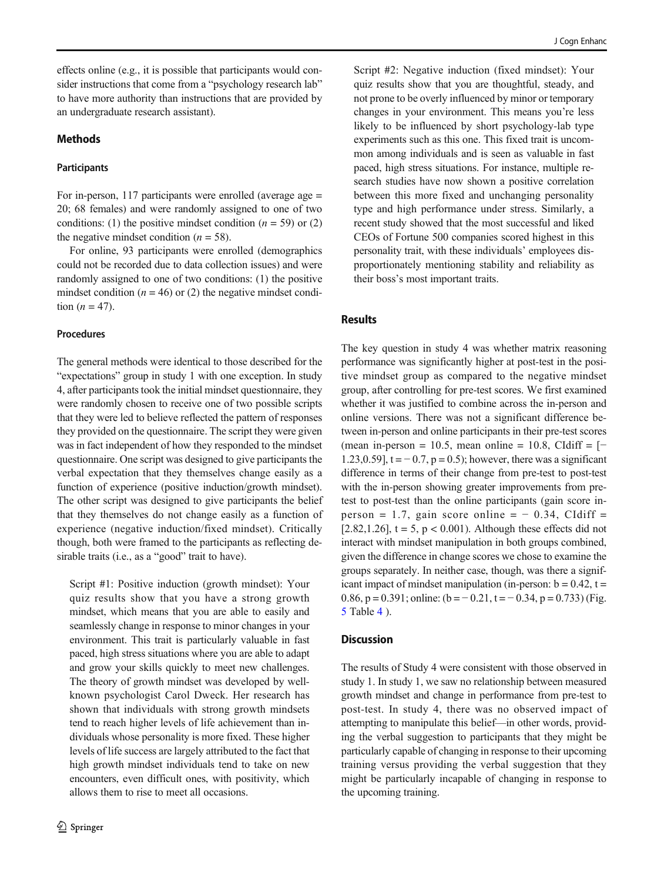effects online (e.g., it is possible that participants would consider instructions that come from a "psychology research lab" to have more authority than instructions that are provided by an undergraduate research assistant).

### **Methods**

#### **Participants**

For in-person, 117 participants were enrolled (average age = 20; 68 females) and were randomly assigned to one of two conditions: (1) the positive mindset condition  $(n = 59)$  or (2) the negative mindset condition  $(n = 58)$ .

For online, 93 participants were enrolled (demographics could not be recorded due to data collection issues) and were randomly assigned to one of two conditions: (1) the positive mindset condition  $(n = 46)$  or (2) the negative mindset condition  $(n = 47)$ .

#### Procedures

The general methods were identical to those described for the "expectations" group in study 1 with one exception. In study 4, after participants took the initial mindset questionnaire, they were randomly chosen to receive one of two possible scripts that they were led to believe reflected the pattern of responses they provided on the questionnaire. The script they were given was in fact independent of how they responded to the mindset questionnaire. One script was designed to give participants the verbal expectation that they themselves change easily as a function of experience (positive induction/growth mindset). The other script was designed to give participants the belief that they themselves do not change easily as a function of experience (negative induction/fixed mindset). Critically though, both were framed to the participants as reflecting desirable traits (i.e., as a "good" trait to have).

Script #1: Positive induction (growth mindset): Your quiz results show that you have a strong growth mindset, which means that you are able to easily and seamlessly change in response to minor changes in your environment. This trait is particularly valuable in fast paced, high stress situations where you are able to adapt and grow your skills quickly to meet new challenges. The theory of growth mindset was developed by wellknown psychologist Carol Dweck. Her research has shown that individuals with strong growth mindsets tend to reach higher levels of life achievement than individuals whose personality is more fixed. These higher levels of life success are largely attributed to the fact that high growth mindset individuals tend to take on new encounters, even difficult ones, with positivity, which allows them to rise to meet all occasions.

Script #2: Negative induction (fixed mindset): Your quiz results show that you are thoughtful, steady, and not prone to be overly influenced by minor or temporary changes in your environment. This means you're less likely to be influenced by short psychology-lab type experiments such as this one. This fixed trait is uncommon among individuals and is seen as valuable in fast paced, high stress situations. For instance, multiple research studies have now shown a positive correlation between this more fixed and unchanging personality type and high performance under stress. Similarly, a recent study showed that the most successful and liked CEOs of Fortune 500 companies scored highest in this personality trait, with these individuals' employees disproportionately mentioning stability and reliability as their boss's most important traits.

### Results

The key question in study 4 was whether matrix reasoning performance was significantly higher at post-test in the positive mindset group as compared to the negative mindset group, after controlling for pre-test scores. We first examined whether it was justified to combine across the in-person and online versions. There was not a significant difference between in-person and online participants in their pre-test scores (mean in-person = 10.5, mean online = 10.8, CIdiff =  $[-$ 1.23,0.59],  $t = -0.7$ ,  $p = 0.5$ ; however, there was a significant difference in terms of their change from pre-test to post-test with the in-person showing greater improvements from pretest to post-test than the online participants (gain score inperson = 1.7, gain score online =  $-$  0.34, CIdiff = [ $2.82, 1.26$ ],  $t = 5$ ,  $p < 0.001$ ). Although these effects did not interact with mindset manipulation in both groups combined, given the difference in change scores we chose to examine the groups separately. In neither case, though, was there a significant impact of mindset manipulation (in-person:  $b = 0.42$ ,  $t =$ 0.86, p = 0.391; online:  $(b = -0.21, t = -0.34, p = 0.733)$  (Fig. [5](#page-12-0) Table [4](#page-12-0) ).

### **Discussion**

The results of Study 4 were consistent with those observed in study 1. In study 1, we saw no relationship between measured growth mindset and change in performance from pre-test to post-test. In study 4, there was no observed impact of attempting to manipulate this belief—in other words, providing the verbal suggestion to participants that they might be particularly capable of changing in response to their upcoming training versus providing the verbal suggestion that they might be particularly incapable of changing in response to the upcoming training.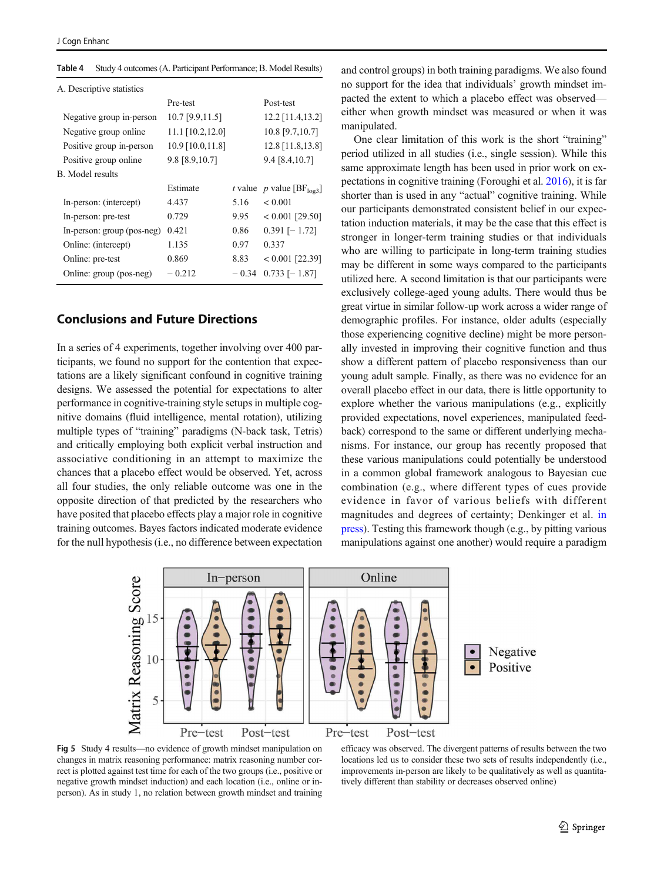| A. Descriptive statistics  |                    |         |                                        |
|----------------------------|--------------------|---------|----------------------------------------|
|                            | Pre-test           |         | Post-test                              |
| Negative group in-person   | 10.7 [9.9,11.5]    |         | $12.2$ [11.4,13.2]                     |
| Negative group online.     | $11.1$ [10.2,12.0] |         | 10.8 [9.7,10.7]                        |
| Positive group in-person   | 10.9 [10.0,11.8]   |         | 12.8 [11.8,13.8]                       |
| Positive group online      | 9.8 [8.9,10.7]     |         | $9.4$ [8.4,10.7]                       |
| B. Model results           |                    |         |                                        |
|                            | Estimate           |         | t value p value [ $BF_{\text{log3}}$ ] |
| In-person: (intercept)     | 4.437              | 5.16    | < 0.001                                |
|                            |                    |         |                                        |
| In-person: pre-test        | 0.729              | 9.95    | $< 0.001$ [29.50]                      |
| In-person: group (pos-neg) | 0.421              | 0.86    | $0.391$ [-1.72]                        |
| Online: (intercept)        | 1.135              | 0.97    | 0.337                                  |
| Online: pre-test           | 0.869              | 8.83    | $< 0.001$ [22.39]                      |
| Online: group (pos-neg)    | $-0.212$           | $-0.34$ | $0.733$ [-1.87]                        |

<span id="page-12-0"></span>Table 4 Study 4 outcomes (A. Participant Performance; B. Model Results)

# Conclusions and Future Directions

In a series of 4 experiments, together involving over 400 participants, we found no support for the contention that expectations are a likely significant confound in cognitive training designs. We assessed the potential for expectations to alter performance in cognitive-training style setups in multiple cognitive domains (fluid intelligence, mental rotation), utilizing multiple types of "training" paradigms (N-back task, Tetris) and critically employing both explicit verbal instruction and associative conditioning in an attempt to maximize the chances that a placebo effect would be observed. Yet, across all four studies, the only reliable outcome was one in the opposite direction of that predicted by the researchers who have posited that placebo effects play a major role in cognitive training outcomes. Bayes factors indicated moderate evidence for the null hypothesis (i.e., no difference between expectation

and control groups) in both training paradigms. We also found no support for the idea that individuals' growth mindset impacted the extent to which a placebo effect was observed either when growth mindset was measured or when it was manipulated.

One clear limitation of this work is the short "training" period utilized in all studies (i.e., single session). While this same approximate length has been used in prior work on expectations in cognitive training (Foroughi et al. [2016](#page-13-0)), it is far shorter than is used in any "actual" cognitive training. While our participants demonstrated consistent belief in our expectation induction materials, it may be the case that this effect is stronger in longer-term training studies or that individuals who are willing to participate in long-term training studies may be different in some ways compared to the participants utilized here. A second limitation is that our participants were exclusively college-aged young adults. There would thus be great virtue in similar follow-up work across a wider range of demographic profiles. For instance, older adults (especially those experiencing cognitive decline) might be more personally invested in improving their cognitive function and thus show a different pattern of placebo responsiveness than our young adult sample. Finally, as there was no evidence for an overall placebo effect in our data, there is little opportunity to explore whether the various manipulations (e.g., explicitly provided expectations, novel experiences, manipulated feedback) correspond to the same or different underlying mechanisms. For instance, our group has recently proposed that these various manipulations could potentially be understood in a common global framework analogous to Bayesian cue combination (e.g., where different types of cues provide evidence in favor of various beliefs with different magnitudes and degrees of certainty; Denkinger et al. [in](#page-13-0) [press\)](#page-13-0). Testing this framework though (e.g., by pitting various manipulations against one another) would require a paradigm



Fig 5 Study 4 results—no evidence of growth mindset manipulation on changes in matrix reasoning performance: matrix reasoning number correct is plotted against test time for each of the two groups (i.e., positive or negative growth mindset induction) and each location (i.e., online or inperson). As in study 1, no relation between growth mindset and training

efficacy was observed. The divergent patterns of results between the two locations led us to consider these two sets of results independently (i.e., improvements in-person are likely to be qualitatively as well as quantitatively different than stability or decreases observed online)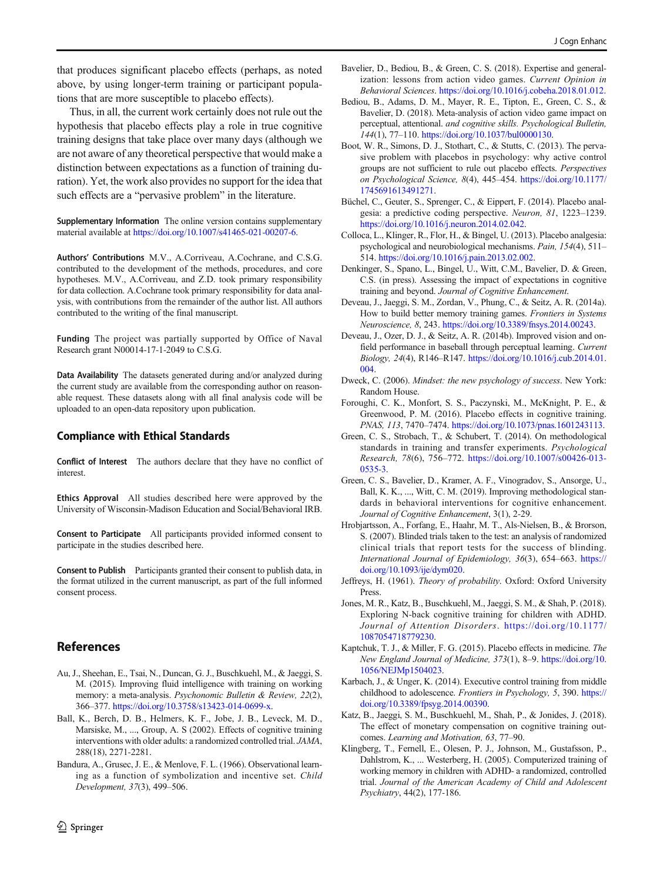<span id="page-13-0"></span>that produces significant placebo effects (perhaps, as noted above, by using longer-term training or participant populations that are more susceptible to placebo effects).

Thus, in all, the current work certainly does not rule out the hypothesis that placebo effects play a role in true cognitive training designs that take place over many days (although we are not aware of any theoretical perspective that would make a distinction between expectations as a function of training duration). Yet, the work also provides no support for the idea that such effects are a "pervasive problem" in the literature.

Supplementary Information The online version contains supplementary material available at <https://doi.org/10.1007/s41465-021-00207-6>.

Authors' Contributions M.V., A.Corriveau, A.Cochrane, and C.S.G. contributed to the development of the methods, procedures, and core hypotheses. M.V., A.Corriveau, and Z.D. took primary responsibility for data collection. A.Cochrane took primary responsibility for data analysis, with contributions from the remainder of the author list. All authors contributed to the writing of the final manuscript.

Funding The project was partially supported by Office of Naval Research grant N00014-17-1-2049 to C.S.G.

Data Availability The datasets generated during and/or analyzed during the current study are available from the corresponding author on reasonable request. These datasets along with all final analysis code will be uploaded to an open-data repository upon publication.

#### Compliance with Ethical Standards

Conflict of Interest The authors declare that they have no conflict of interest.

Ethics Approval All studies described here were approved by the University of Wisconsin-Madison Education and Social/Behavioral IRB.

Consent to Participate All participants provided informed consent to participate in the studies described here.

Consent to Publish Participants granted their consent to publish data, in the format utilized in the current manuscript, as part of the full informed consent process.

### References

- Au, J., Sheehan, E., Tsai, N., Duncan, G. J., Buschkuehl, M., & Jaeggi, S. M. (2015). Improving fluid intelligence with training on working memory: a meta-analysis. *Psychonomic Bulletin & Review, 22*(2), 366–377. <https://doi.org/10.3758/s13423-014-0699-x>.
- Ball, K., Berch, D. B., Helmers, K. F., Jobe, J. B., Leveck, M. D., Marsiske, M., ..., Group, A. S (2002). Effects of cognitive training interventions with older adults: a randomized controlled trial. *JAMA*, 288(18), 2271-2281.
- Bandura, A., Grusec, J. E., & Menlove, F. L. (1966). Observational learning as a function of symbolization and incentive set. *Child Development, 37*(3), 499–506.
- Bavelier, D., Bediou, B., & Green, C. S. (2018). Expertise and generalization: lessons from action video games. *Current Opinion in Behavioral Sciences*. [https://doi.org/10.1016/j.cobeha.2018.01.012.](https://doi.org/10.1016/j.cobeha.2018.01.012)
- Bediou, B., Adams, D. M., Mayer, R. E., Tipton, E., Green, C. S., & Bavelier, D. (2018). Meta-analysis of action video game impact on perceptual, attentional. *and cognitive skills. Psychological Bulletin, 144*(1), 77–110. [https://doi.org/10.1037/bul0000130.](https://doi.org/10.1037/bul0000130)
- Boot, W. R., Simons, D. J., Stothart, C., & Stutts, C. (2013). The pervasive problem with placebos in psychology: why active control groups are not sufficient to rule out placebo effects. *Perspectives on Psychological Science, 8*(4), 445–454. [https://doi.org/10.1177/](https://doi.org/10.1177/1745691613491271) [1745691613491271](https://doi.org/10.1177/1745691613491271).
- Büchel, C., Geuter, S., Sprenger, C., & Eippert, F. (2014). Placebo analgesia: a predictive coding perspective. *Neuron, 81*, 1223–1239. <https://doi.org/10.1016/j.neuron.2014.02.042>.
- Colloca, L., Klinger, R., Flor, H., & Bingel, U. (2013). Placebo analgesia: psychological and neurobiological mechanisms. *Pain, 154*(4), 511– 514. <https://doi.org/10.1016/j.pain.2013.02.002>.
- Denkinger, S., Spano, L., Bingel, U., Witt, C.M., Bavelier, D. & Green, C.S. (in press). Assessing the impact of expectations in cognitive training and beyond. *Journal of Cognitive Enhancement*.
- Deveau, J., Jaeggi, S. M., Zordan, V., Phung, C., & Seitz, A. R. (2014a). How to build better memory training games. *Frontiers in Systems Neuroscience, 8*, 243. [https://doi.org/10.3389/fnsys.2014.00243.](https://doi.org/10.3389/fnsys.2014.00243)
- Deveau, J., Ozer, D. J., & Seitz, A. R. (2014b). Improved vision and onfield performance in baseball through perceptual learning. *Current Biology, 24*(4), R146–R147. [https://doi.org/10.1016/j.cub.2014.01.](https://doi.org/10.1016/j.cub.2014.01.004) [004.](https://doi.org/10.1016/j.cub.2014.01.004)
- Dweck, C. (2006). *Mindset: the new psychology of success*. New York: Random House.
- Foroughi, C. K., Monfort, S. S., Paczynski, M., McKnight, P. E., & Greenwood, P. M. (2016). Placebo effects in cognitive training. *PNAS, 113*, 7470–7474. [https://doi.org/10.1073/pnas.1601243113.](https://doi.org/10.1073/pnas.1601243113)
- Green, C. S., Strobach, T., & Schubert, T. (2014). On methodological standards in training and transfer experiments. *Psychological Research, 78*(6), 756–772. [https://doi.org/10.1007/s00426-013-](https://doi.org/10.1007/s00426-013-0535-3) [0535-3](https://doi.org/10.1007/s00426-013-0535-3).
- Green, C. S., Bavelier, D., Kramer, A. F., Vinogradov, S., Ansorge, U., Ball, K. K., ..., Witt, C. M. (2019). Improving methodological standards in behavioral interventions for cognitive enhancement. *Journal of Cognitive Enhancement*, 3(1), 2-29.
- Hrobjartsson, A., Forfang, E., Haahr, M. T., Als-Nielsen, B., & Brorson, S. (2007). Blinded trials taken to the test: an analysis of randomized clinical trials that report tests for the success of blinding. *International Journal of Epidemiology, 36*(3), 654–663. [https://](https://doi.org/10.1093/ije/dym020) [doi.org/10.1093/ije/dym020.](https://doi.org/10.1093/ije/dym020)
- Jeffreys, H. (1961). *Theory of probability*. Oxford: Oxford University Press.
- Jones, M. R., Katz, B., Buschkuehl, M., Jaeggi, S. M., & Shah, P. (2018). Exploring N-back cognitive training for children with ADHD. *Journal of Attention Disorders*. [https://doi.org/10.1177/](https://doi.org/10.1177/1087054718779230) [1087054718779230](https://doi.org/10.1177/1087054718779230).
- Kaptchuk, T. J., & Miller, F. G. (2015). Placebo effects in medicine. *The New England Journal of Medicine, 373*(1), 8–9. [https://doi.org/10.](https://doi.org/10.1056/NEJMp1504023) [1056/NEJMp1504023](https://doi.org/10.1056/NEJMp1504023).
- Karbach, J., & Unger, K. (2014). Executive control training from middle childhood to adolescence. *Frontiers in Psychology, 5*, 390. [https://](https://doi.org/10.3389/fpsyg.2014.00390) [doi.org/10.3389/fpsyg.2014.00390](https://doi.org/10.3389/fpsyg.2014.00390).
- Katz, B., Jaeggi, S. M., Buschkuehl, M., Shah, P., & Jonides, J. (2018). The effect of monetary compensation on cognitive training outcomes. *Learning and Motivation, 63*, 77–90.
- Klingberg, T., Fernell, E., Olesen, P. J., Johnson, M., Gustafsson, P., Dahlstrom, K., ... Westerberg, H. (2005). Computerized training of working memory in children with ADHD- a randomized, controlled trial. *Journal of the American Academy of Child and Adolescent Psychiatry*, 44(2), 177-186.